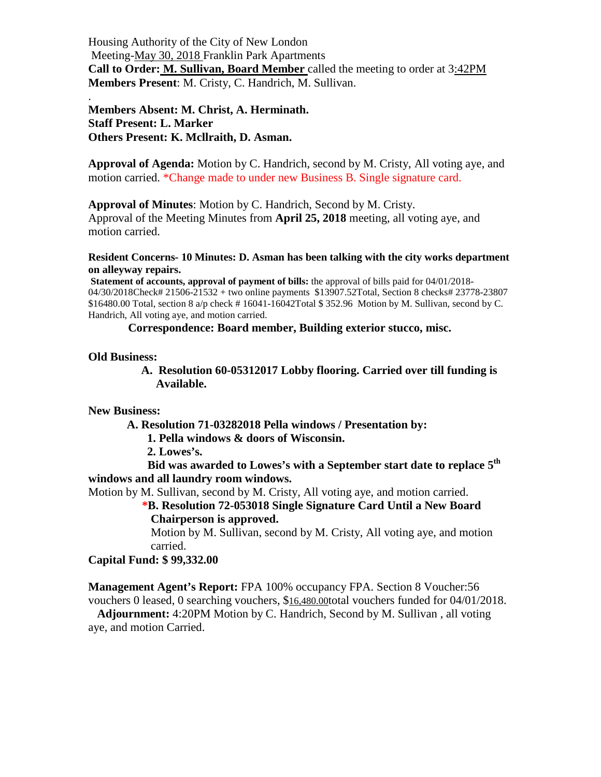Housing Authority of the City of New London Meeting-May 30, 2018 Franklin Park Apartments **Call to Order: M. Sullivan, Board Member** called the meeting to order at 3:42PM **Members Present**: M. Cristy, C. Handrich, M. Sullivan.

**Members Absent: M. Christ, A. Herminath. Staff Present: L. Marker Others Present: K. Mcllraith, D. Asman.**

**Approval of Agenda:** Motion by C. Handrich, second by M. Cristy, All voting aye, and motion carried. \*Change made to under new Business B. Single signature card.

**Approval of Minutes**: Motion by C. Handrich, Second by M. Cristy.

Approval of the Meeting Minutes from **April 25, 2018** meeting, all voting aye, and motion carried.

**Resident Concerns- 10 Minutes: D. Asman has been talking with the city works department on alleyway repairs.**

**Statement of accounts, approval of payment of bills:** the approval of bills paid for 04/01/2018- 04/30/2018Check# 21506-21532 + two online payments \$13907.52Total, Section 8 checks# 23778-23807 \$16480.00 Total, section  $8 \text{ a/p}$  check #16041-16042Total  $\$$  352.96 Motion by M. Sullivan, second by C. Handrich, All voting aye, and motion carried.

**Correspondence: Board member, Building exterior stucco, misc.**

## **Old Business:**

.

 **A. Resolution 60-05312017 Lobby flooring. Carried over till funding is Available.**

**New Business:**

**A. Resolution 71-03282018 Pella windows / Presentation by:**

 **1. Pella windows & doors of Wisconsin.** 

 **2. Lowes's.**

 **Bid was awarded to Lowes's with a September start date to replace 5th windows and all laundry room windows.**

Motion by M. Sullivan, second by M. Cristy, All voting aye, and motion carried.

**\*B. Resolution 72-053018 Single Signature Card Until a New Board Chairperson is approved.**

Motion by M. Sullivan, second by M. Cristy, All voting aye, and motion carried.

## **Capital Fund: \$ 99,332.00**

**Management Agent's Report:** FPA 100% occupancy FPA. Section 8 Voucher:56 vouchers 0 leased, 0 searching vouchers, \$16,480.00total vouchers funded for 04/01/2018.  **Adjournment:** 4:20PM Motion by C. Handrich, Second by M. Sullivan , all voting

aye, and motion Carried.